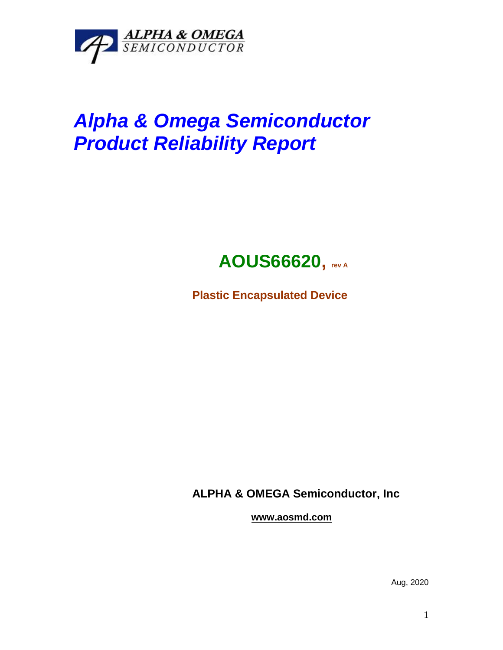

## *Alpha & Omega Semiconductor Product Reliability Report*



**Plastic Encapsulated Device**

**ALPHA & OMEGA Semiconductor, Inc**

**www.aosmd.com**

Aug, 2020